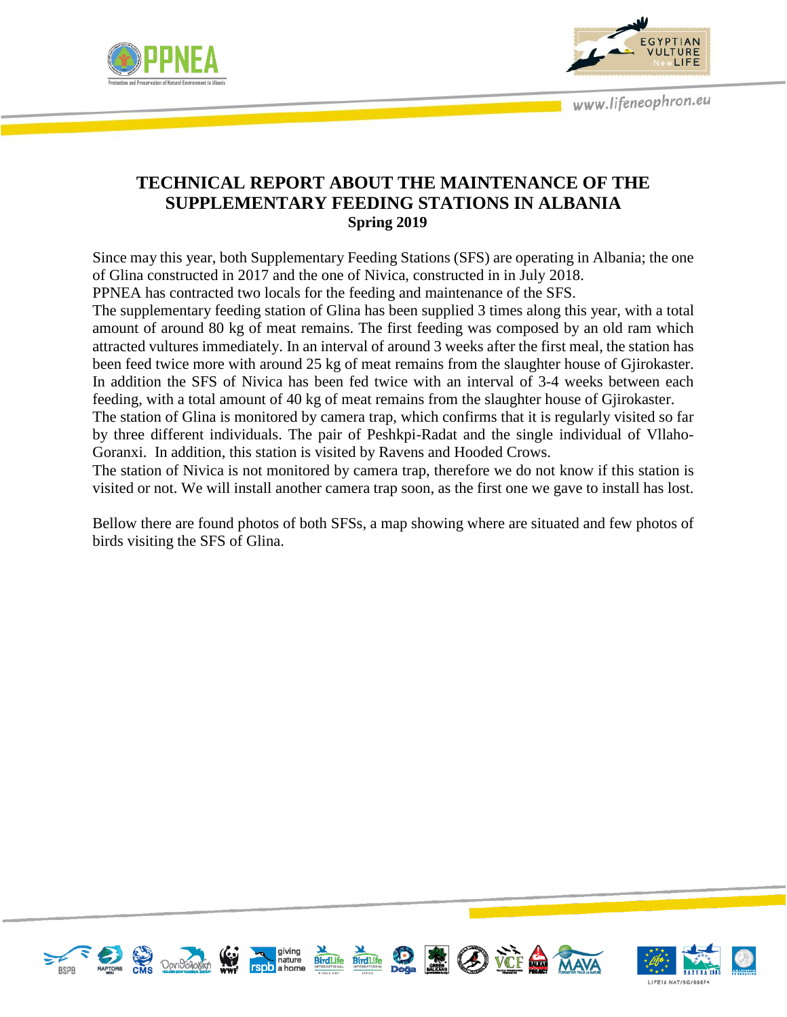



## **TECHNICAL REPORT ABOUT THE MAINTENANCE OF THE SUPPLEMENTARY FEEDING STATIONS IN ALBANIA Spring 2019**

Since may this year, both Supplementary Feeding Stations (SFS) are operating in Albania; the one of Glina constructed in 2017 and the one of Nivica, constructed in in July 2018.

PPNEA has contracted two locals for the feeding and maintenance of the SFS.

The supplementary feeding station of Glina has been supplied 3 times along this year, with a total amount of around 80 kg of meat remains. The first feeding was composed by an old ram which attracted vultures immediately. In an interval of around 3 weeks after the first meal, the station has been feed twice more with around 25 kg of meat remains from the slaughter house of Gjirokaster. In addition the SFS of Nivica has been fed twice with an interval of 3-4 weeks between each feeding, with a total amount of 40 kg of meat remains from the slaughter house of Gjirokaster.

The station of Glina is monitored by camera trap, which confirms that it is regularly visited so far by three different individuals. The pair of Peshkpi-Radat and the single individual of Vllaho-Goranxi. In addition, this station is visited by Ravens and Hooded Crows.

The station of Nivica is not monitored by camera trap, therefore we do not know if this station is visited or not. We will install another camera trap soon, as the first one we gave to install has lost.

Bellow there are found photos of both SFSs, a map showing where are situated and few photos of birds visiting the SFS of Glina.



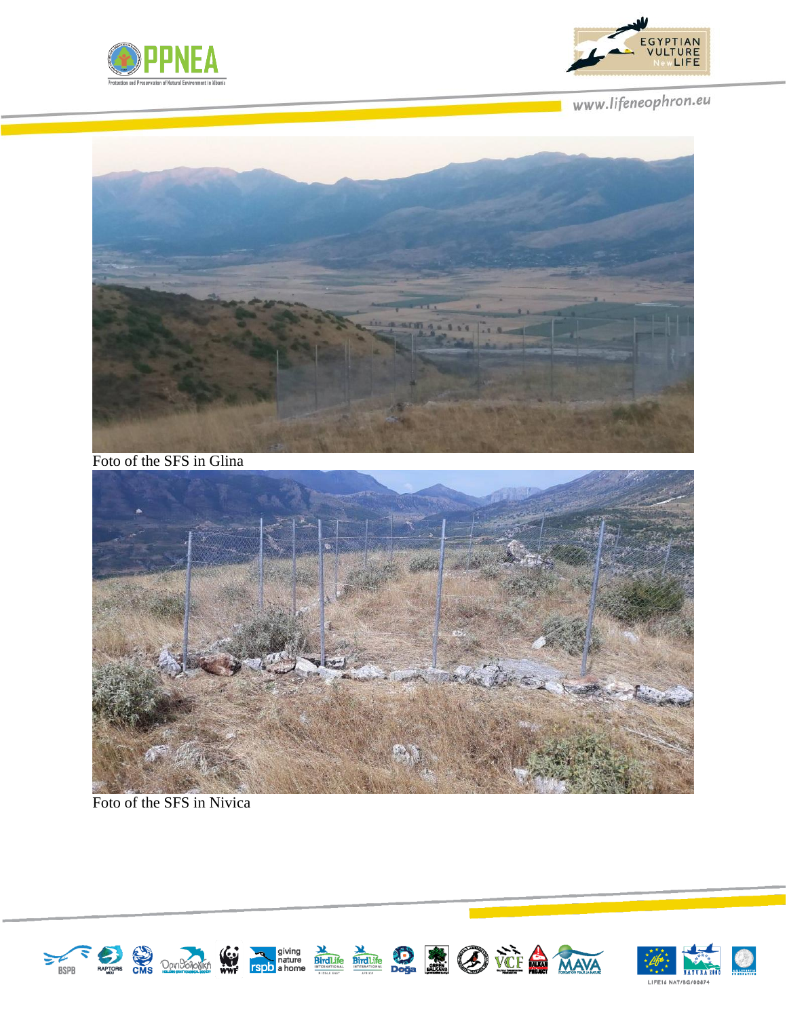



www.lifeneophron.eu



Foto of the SFS in Glina



Foto of the SFS in Nivica

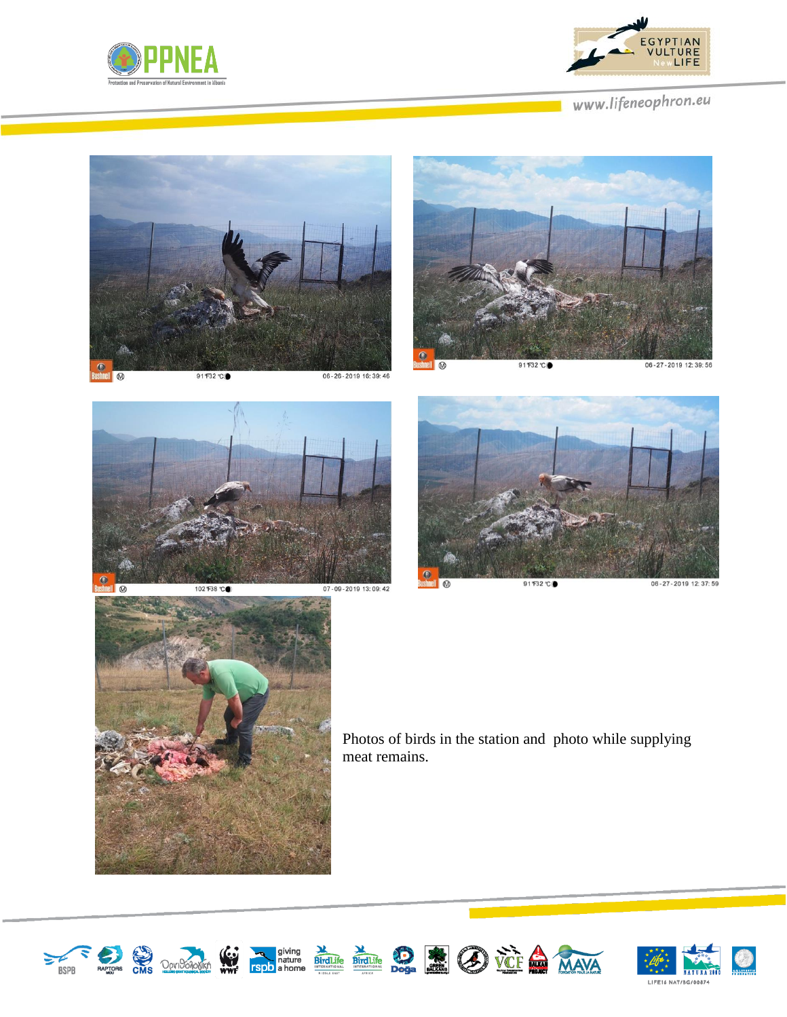



www.lifeneophron.eu











Photos of birds in the station and photo while supplying meat remains.